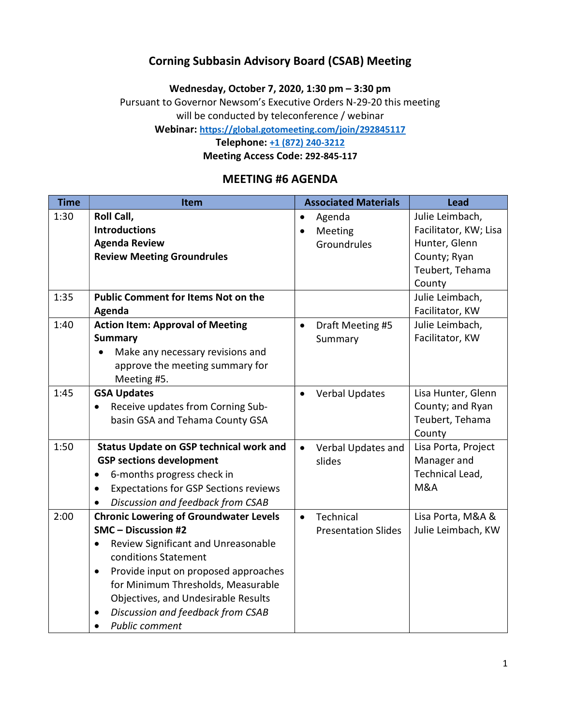### Corning Subbasin Advisory Board (CSAB) Meeting

Wednesday, October 7, 2020, 1:30 pm – 3:30 pm

Pursuant to Governor Newsom's Executive Orders N-29-20 this meeting

will be conducted by teleconference / webinar

Webinar: https://global.gotomeeting.com/join/292845117

Telephone: +1 (872) 240-3212

Meeting Access Code: 292-845-117

#### MEETING #6 AGENDA

| <b>Time</b> | Item                                                                                                                                                                                                                                                                                                                                      | <b>Associated Materials</b><br><b>Lead</b>                                                                                                 |
|-------------|-------------------------------------------------------------------------------------------------------------------------------------------------------------------------------------------------------------------------------------------------------------------------------------------------------------------------------------------|--------------------------------------------------------------------------------------------------------------------------------------------|
| 1:30        | Roll Call,<br><b>Introductions</b><br><b>Agenda Review</b><br><b>Review Meeting Groundrules</b>                                                                                                                                                                                                                                           | Julie Leimbach,<br>Agenda<br>Facilitator, KW; Lisa<br>Meeting<br>Hunter, Glenn<br>Groundrules<br>County; Ryan<br>Teubert, Tehama<br>County |
| 1:35        | <b>Public Comment for Items Not on the</b><br>Agenda                                                                                                                                                                                                                                                                                      | Julie Leimbach,<br>Facilitator, KW                                                                                                         |
| 1:40        | <b>Action Item: Approval of Meeting</b><br><b>Summary</b><br>Make any necessary revisions and<br>approve the meeting summary for<br>Meeting #5.                                                                                                                                                                                           | Julie Leimbach,<br>Draft Meeting #5<br>$\bullet$<br>Facilitator, KW<br>Summary                                                             |
| 1:45        | <b>GSA Updates</b><br>Receive updates from Corning Sub-<br>$\bullet$<br>basin GSA and Tehama County GSA                                                                                                                                                                                                                                   | Lisa Hunter, Glenn<br><b>Verbal Updates</b><br>County; and Ryan<br>Teubert, Tehama<br>County                                               |
| 1:50        | <b>Status Update on GSP technical work and</b><br><b>GSP sections development</b><br>6-months progress check in<br>$\bullet$<br><b>Expectations for GSP Sections reviews</b><br>Discussion and feedback from CSAB                                                                                                                         | Lisa Porta, Project<br>Verbal Updates and<br>$\bullet$<br>slides<br>Manager and<br>Technical Lead,<br>M&A                                  |
| 2:00        | <b>Chronic Lowering of Groundwater Levels</b><br>SMC - Discussion #2<br>Review Significant and Unreasonable<br>$\bullet$<br>conditions Statement<br>Provide input on proposed approaches<br>$\bullet$<br>for Minimum Thresholds, Measurable<br>Objectives, and Undesirable Results<br>Discussion and feedback from CSAB<br>Public comment | Lisa Porta, M&A &<br>Technical<br>$\bullet$<br>Julie Leimbach, KW<br><b>Presentation Slides</b>                                            |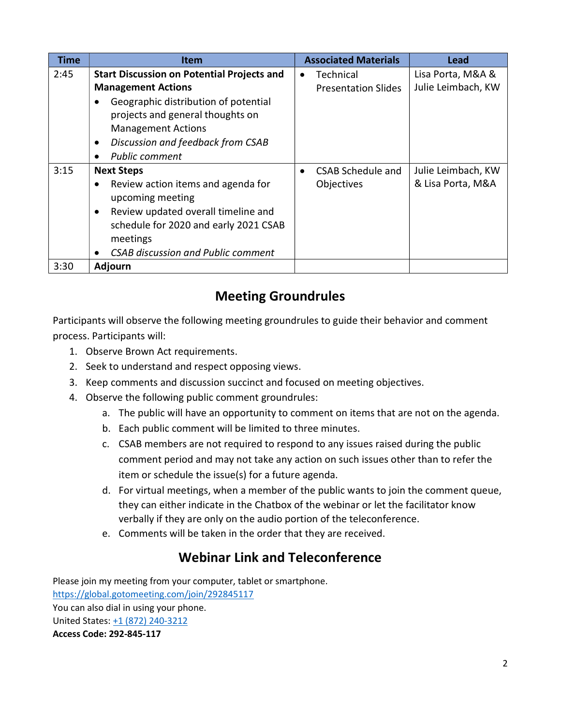| <b>Time</b> | <b>Item</b>                                            | <b>Associated Materials</b>    | Lead               |
|-------------|--------------------------------------------------------|--------------------------------|--------------------|
| 2:45        | <b>Start Discussion on Potential Projects and</b>      | Technical<br>$\bullet$         | Lisa Porta, M&A &  |
|             | <b>Management Actions</b>                              | <b>Presentation Slides</b>     | Julie Leimbach, KW |
|             | Geographic distribution of potential                   |                                |                    |
|             | projects and general thoughts on                       |                                |                    |
|             | <b>Management Actions</b>                              |                                |                    |
|             | Discussion and feedback from CSAB<br>$\bullet$         |                                |                    |
|             | <b>Public comment</b>                                  |                                |                    |
| 3:15        | <b>Next Steps</b>                                      | CSAB Schedule and<br>$\bullet$ | Julie Leimbach, KW |
|             | Review action items and agenda for<br>$\bullet$        | Objectives                     | & Lisa Porta, M&A  |
|             | upcoming meeting                                       |                                |                    |
|             | Review updated overall timeline and<br>$\bullet$       |                                |                    |
|             | schedule for 2020 and early 2021 CSAB                  |                                |                    |
|             | meetings                                               |                                |                    |
|             | <b>CSAB discussion and Public comment</b><br>$\bullet$ |                                |                    |
| 3:30        | <b>Adjourn</b>                                         |                                |                    |

# Meeting Groundrules

Participants will observe the following meeting groundrules to guide their behavior and comment process. Participants will:

- 1. Observe Brown Act requirements.
- 2. Seek to understand and respect opposing views.
- 3. Keep comments and discussion succinct and focused on meeting objectives.
- 4. Observe the following public comment groundrules:
	- a. The public will have an opportunity to comment on items that are not on the agenda.
	- b. Each public comment will be limited to three minutes.
	- c. CSAB members are not required to respond to any issues raised during the public comment period and may not take any action on such issues other than to refer the item or schedule the issue(s) for a future agenda.
	- d. For virtual meetings, when a member of the public wants to join the comment queue, they can either indicate in the Chatbox of the webinar or let the facilitator know verbally if they are only on the audio portion of the teleconference.
	- e. Comments will be taken in the order that they are received.

## Webinar Link and Teleconference

Please join my meeting from your computer, tablet or smartphone. https://global.gotomeeting.com/join/292845117 You can also dial in using your phone. United States: +1 (872) 240-3212 Access Code: 292-845-117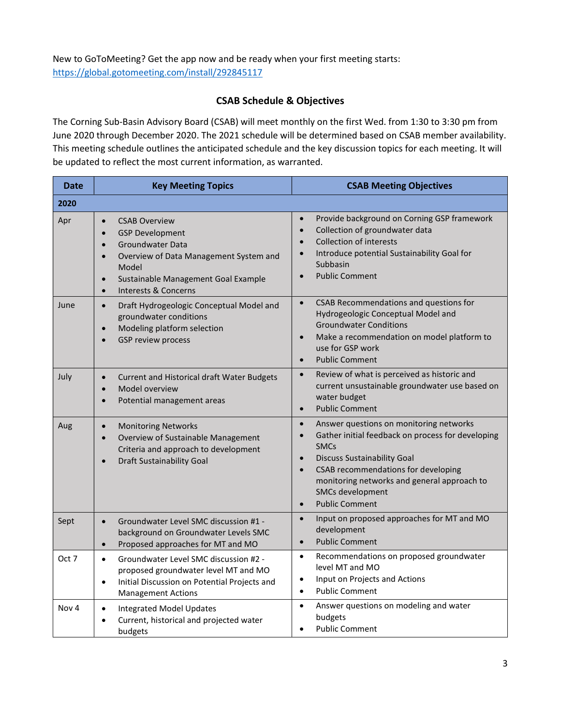New to GoToMeeting? Get the app now and be ready when your first meeting starts: https://global.gotomeeting.com/install/292845117

#### CSAB Schedule & Objectives

The Corning Sub-Basin Advisory Board (CSAB) will meet monthly on the first Wed. from 1:30 to 3:30 pm from June 2020 through December 2020. The 2021 schedule will be determined based on CSAB member availability. This meeting schedule outlines the anticipated schedule and the key discussion topics for each meeting. It will be updated to reflect the most current information, as warranted.

| <b>Date</b>      | <b>Key Meeting Topics</b>                                                                                                                                                                                                                                          | <b>CSAB Meeting Objectives</b>                                                                                                                                                                                                                                                                                                                        |
|------------------|--------------------------------------------------------------------------------------------------------------------------------------------------------------------------------------------------------------------------------------------------------------------|-------------------------------------------------------------------------------------------------------------------------------------------------------------------------------------------------------------------------------------------------------------------------------------------------------------------------------------------------------|
| 2020             |                                                                                                                                                                                                                                                                    |                                                                                                                                                                                                                                                                                                                                                       |
| Apr              | <b>CSAB Overview</b><br>$\bullet$<br><b>GSP Development</b><br>$\bullet$<br>Groundwater Data<br>$\bullet$<br>Overview of Data Management System and<br>$\bullet$<br>Model<br>Sustainable Management Goal Example<br>$\bullet$<br>Interests & Concerns<br>$\bullet$ | Provide background on Corning GSP framework<br>$\bullet$<br>Collection of groundwater data<br>$\bullet$<br><b>Collection of interests</b><br>$\bullet$<br>Introduce potential Sustainability Goal for<br>$\bullet$<br>Subbasin<br><b>Public Comment</b><br>$\bullet$                                                                                  |
| June             | Draft Hydrogeologic Conceptual Model and<br>$\bullet$<br>groundwater conditions<br>Modeling platform selection<br>$\bullet$<br>GSP review process<br>$\bullet$                                                                                                     | CSAB Recommendations and questions for<br>$\bullet$<br>Hydrogeologic Conceptual Model and<br><b>Groundwater Conditions</b><br>Make a recommendation on model platform to<br>$\bullet$<br>use for GSP work<br><b>Public Comment</b><br>$\bullet$                                                                                                       |
| July             | Current and Historical draft Water Budgets<br>$\bullet$<br>Model overview<br>$\bullet$<br>Potential management areas<br>$\bullet$                                                                                                                                  | Review of what is perceived as historic and<br>$\bullet$<br>current unsustainable groundwater use based on<br>water budget<br><b>Public Comment</b><br>$\bullet$                                                                                                                                                                                      |
| Aug              | <b>Monitoring Networks</b><br>$\bullet$<br>Overview of Sustainable Management<br>$\bullet$<br>Criteria and approach to development<br><b>Draft Sustainability Goal</b><br>$\bullet$                                                                                | Answer questions on monitoring networks<br>$\bullet$<br>Gather initial feedback on process for developing<br>$\bullet$<br><b>SMCs</b><br><b>Discuss Sustainability Goal</b><br>$\bullet$<br>CSAB recommendations for developing<br>$\bullet$<br>monitoring networks and general approach to<br>SMCs development<br><b>Public Comment</b><br>$\bullet$ |
| Sept             | Groundwater Level SMC discussion #1 -<br>$\bullet$<br>background on Groundwater Levels SMC<br>Proposed approaches for MT and MO<br>$\bullet$                                                                                                                       | Input on proposed approaches for MT and MO<br>$\bullet$<br>development<br><b>Public Comment</b><br>$\bullet$                                                                                                                                                                                                                                          |
| Oct 7            | Groundwater Level SMC discussion #2 -<br>$\bullet$<br>proposed groundwater level MT and MO<br>Initial Discussion on Potential Projects and<br>$\bullet$<br><b>Management Actions</b>                                                                               | Recommendations on proposed groundwater<br>$\bullet$<br>level MT and MO<br>Input on Projects and Actions<br>$\bullet$<br><b>Public Comment</b><br>$\bullet$                                                                                                                                                                                           |
| Nov <sub>4</sub> | <b>Integrated Model Updates</b><br>$\bullet$<br>Current, historical and projected water<br>budgets                                                                                                                                                                 | $\bullet$<br>Answer questions on modeling and water<br>budgets<br><b>Public Comment</b><br>$\bullet$                                                                                                                                                                                                                                                  |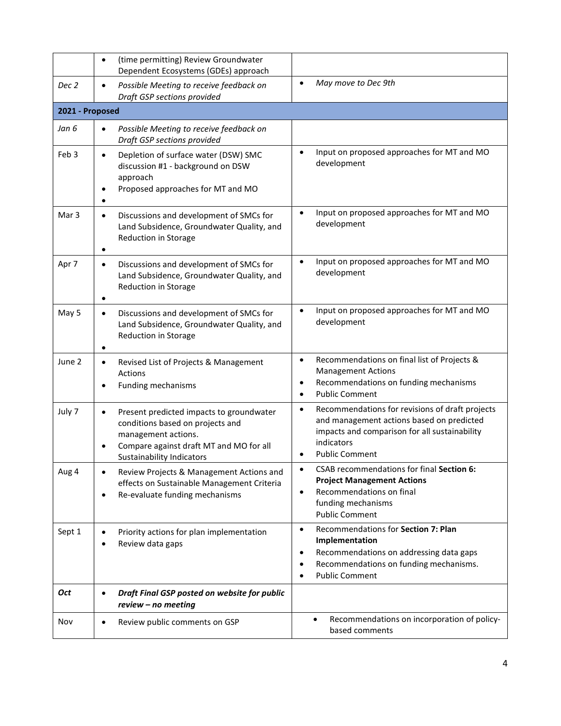|                  | (time permitting) Review Groundwater<br>$\bullet$<br>Dependent Ecosystems (GDEs) approach                                                                                                       |                                                                                                                                                                                                         |  |  |
|------------------|-------------------------------------------------------------------------------------------------------------------------------------------------------------------------------------------------|---------------------------------------------------------------------------------------------------------------------------------------------------------------------------------------------------------|--|--|
| Dec 2            | Possible Meeting to receive feedback on<br>$\bullet$<br>Draft GSP sections provided                                                                                                             | May move to Dec 9th<br>$\bullet$                                                                                                                                                                        |  |  |
| 2021 - Proposed  |                                                                                                                                                                                                 |                                                                                                                                                                                                         |  |  |
| Jan 6            | Possible Meeting to receive feedback on<br>$\bullet$<br>Draft GSP sections provided                                                                                                             |                                                                                                                                                                                                         |  |  |
| Feb <sub>3</sub> | Depletion of surface water (DSW) SMC<br>$\bullet$<br>discussion #1 - background on DSW<br>approach<br>Proposed approaches for MT and MO<br>$\bullet$                                            | Input on proposed approaches for MT and MO<br>$\bullet$<br>development                                                                                                                                  |  |  |
| Mar 3            | Discussions and development of SMCs for<br>$\bullet$<br>Land Subsidence, Groundwater Quality, and<br>Reduction in Storage<br>$\bullet$                                                          | Input on proposed approaches for MT and MO<br>$\bullet$<br>development                                                                                                                                  |  |  |
| Apr 7            | Discussions and development of SMCs for<br>$\bullet$<br>Land Subsidence, Groundwater Quality, and<br>Reduction in Storage<br>$\bullet$                                                          | Input on proposed approaches for MT and MO<br>$\bullet$<br>development                                                                                                                                  |  |  |
| May 5            | Discussions and development of SMCs for<br>$\bullet$<br>Land Subsidence, Groundwater Quality, and<br>Reduction in Storage                                                                       | Input on proposed approaches for MT and MO<br>$\bullet$<br>development                                                                                                                                  |  |  |
| June 2           | Revised List of Projects & Management<br>$\bullet$<br>Actions<br>Funding mechanisms<br>$\bullet$                                                                                                | Recommendations on final list of Projects &<br>$\bullet$<br><b>Management Actions</b><br>Recommendations on funding mechanisms<br>٠<br><b>Public Comment</b><br>$\bullet$                               |  |  |
| July 7           | Present predicted impacts to groundwater<br>$\bullet$<br>conditions based on projects and<br>management actions.<br>Compare against draft MT and MO for all<br><b>Sustainability Indicators</b> | Recommendations for revisions of draft projects<br>$\bullet$<br>and management actions based on predicted<br>impacts and comparison for all sustainability<br>indicators<br><b>Public Comment</b>       |  |  |
| Aug 4            | Review Projects & Management Actions and<br>$\bullet$<br>effects on Sustainable Management Criteria<br>Re-evaluate funding mechanisms<br>$\bullet$                                              | CSAB recommendations for final Section 6:<br><b>Project Management Actions</b><br>Recommendations on final<br>$\bullet$<br>funding mechanisms<br><b>Public Comment</b>                                  |  |  |
| Sept 1           | Priority actions for plan implementation<br>$\bullet$<br>Review data gaps<br>$\bullet$                                                                                                          | Recommendations for Section 7: Plan<br>$\bullet$<br>Implementation<br>Recommendations on addressing data gaps<br>٠<br>Recommendations on funding mechanisms.<br>٠<br><b>Public Comment</b><br>$\bullet$ |  |  |
| Oct              | Draft Final GSP posted on website for public<br>$\bullet$<br>review - no meeting                                                                                                                |                                                                                                                                                                                                         |  |  |
| Nov              | Review public comments on GSP<br>$\bullet$                                                                                                                                                      | Recommendations on incorporation of policy-<br>$\bullet$<br>based comments                                                                                                                              |  |  |